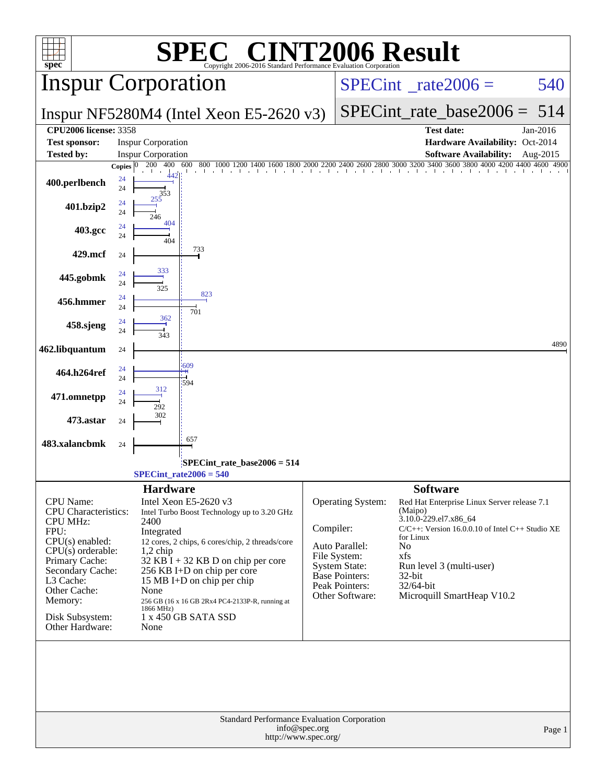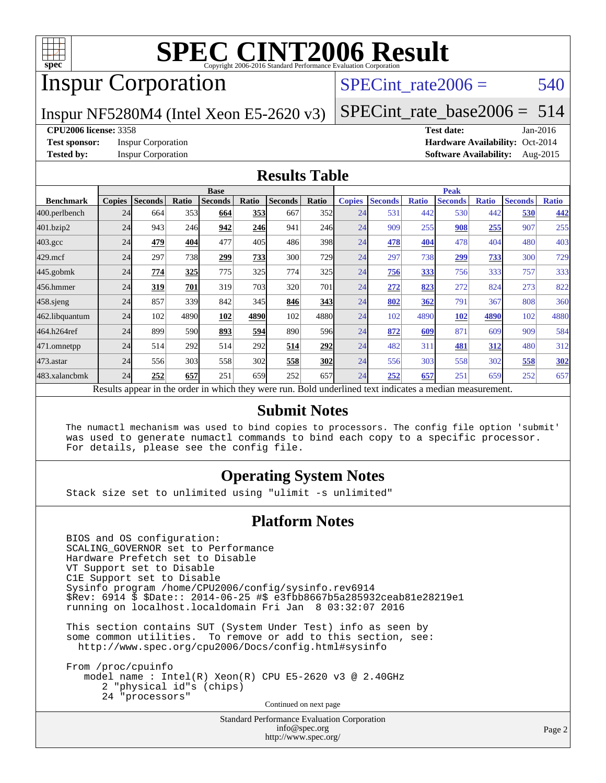

## Inspur Corporation

SPECint rate $2006 = 540$ 

Inspur NF5280M4 (Intel Xeon E5-2620 v3)

[SPECint\\_rate\\_base2006 =](http://www.spec.org/auto/cpu2006/Docs/result-fields.html#SPECintratebase2006) 514

#### **[CPU2006 license:](http://www.spec.org/auto/cpu2006/Docs/result-fields.html#CPU2006license)** 3358 **[Test date:](http://www.spec.org/auto/cpu2006/Docs/result-fields.html#Testdate)** Jan-2016

**[Test sponsor:](http://www.spec.org/auto/cpu2006/Docs/result-fields.html#Testsponsor)** Inspur Corporation **[Hardware Availability:](http://www.spec.org/auto/cpu2006/Docs/result-fields.html#HardwareAvailability)** Oct-2014 **[Tested by:](http://www.spec.org/auto/cpu2006/Docs/result-fields.html#Testedby)** Inspur Corporation **[Software Availability:](http://www.spec.org/auto/cpu2006/Docs/result-fields.html#SoftwareAvailability)** Aug-2015

#### **[Results Table](http://www.spec.org/auto/cpu2006/Docs/result-fields.html#ResultsTable)**

|                                                                                                          |               | <b>Base</b>    |       |                |       | <b>Peak</b>    |       |               |                |              |                |              |                |              |
|----------------------------------------------------------------------------------------------------------|---------------|----------------|-------|----------------|-------|----------------|-------|---------------|----------------|--------------|----------------|--------------|----------------|--------------|
| <b>Benchmark</b>                                                                                         | <b>Copies</b> | <b>Seconds</b> | Ratio | <b>Seconds</b> | Ratio | <b>Seconds</b> | Ratio | <b>Copies</b> | <b>Seconds</b> | <b>Ratio</b> | <b>Seconds</b> | <b>Ratio</b> | <b>Seconds</b> | <b>Ratio</b> |
| 400.perlbench                                                                                            | 24            | 664            | 353   | 664            | 353   | 667            | 352   | 24            | 531            | 442          | 530            | 442          | 530            | 442          |
| 401.bzip2                                                                                                | 24            | 943            | 246   | 942            | 246   | 941            | 246   | 24            | 909            | 255          | 908            | 255          | 907            | 255          |
| $403.\mathrm{gcc}$                                                                                       | 24            | 479            | 404   | 477            | 405   | 486            | 398   | 24            | 478            | 404          | 478            | 404          | 480            | 403          |
| $429$ .mcf                                                                                               | 24            | 297            | 738   | 299            | 733   | 300            | 729   | 24            | 297            | 738          | 299            | 733          | 300            | 729          |
| $445$ .gobmk                                                                                             | 24            | 774            | 325   | 775            | 325   | 774            | 325   | 24            | 756            | 333          | 756            | 333          | 757            | 333          |
| 456.hmmer                                                                                                | 24            | 319            | 701   | 319            | 703   | 320            | 701   | 24            | 272            | 823          | 272            | 824          | 273            | 822          |
| $458$ .sjeng                                                                                             | 24            | 857            | 339   | 842            | 345   | 846            | 343   | 24            | 802            | 362          | 791            | 367          | 808            | 360          |
| 462.libquantum                                                                                           | 24            | 102            | 4890  | 102            | 4890  | 102            | 4880  | 24            | 102            | 4890         | 102            | 4890         | 102            | 4880         |
| 464.h264ref                                                                                              | 24            | 899            | 590   | 893            | 594   | 890            | 596   | 24            | 872            | 609          | 871            | 609          | 909            | 584          |
| 471.omnetpp                                                                                              | 24            | 514            | 292   | 514            | 292   | 514            | 292   | 24            | 482            | 311          | 481            | 312          | 480            | 312          |
| 473.astar                                                                                                | 24            | 556            | 303   | 558            | 302   | 558            | 302   | 24            | 556            | 303          | 558            | 302          | 558            | <u>302</u>   |
| 483.xalancbmk                                                                                            | 24            | 252            | 657   | 251            | 659   | 252            | 657   | 24            | 252            | 657          | 251            | 659          | 252            | 657          |
| Results appear in the order in which they were run. Bold underlined text indicates a median measurement. |               |                |       |                |       |                |       |               |                |              |                |              |                |              |

#### **[Submit Notes](http://www.spec.org/auto/cpu2006/Docs/result-fields.html#SubmitNotes)**

 The numactl mechanism was used to bind copies to processors. The config file option 'submit' was used to generate numactl commands to bind each copy to a specific processor. For details, please see the config file.

#### **[Operating System Notes](http://www.spec.org/auto/cpu2006/Docs/result-fields.html#OperatingSystemNotes)**

Stack size set to unlimited using "ulimit -s unlimited"

#### **[Platform Notes](http://www.spec.org/auto/cpu2006/Docs/result-fields.html#PlatformNotes)**

 BIOS and OS configuration: SCALING\_GOVERNOR set to Performance Hardware Prefetch set to Disable VT Support set to Disable C1E Support set to Disable Sysinfo program /home/CPU2006/config/sysinfo.rev6914 \$Rev: 6914 \$ \$Date:: 2014-06-25 #\$ e3fbb8667b5a285932ceab81e28219e1 running on localhost.localdomain Fri Jan 8 03:32:07 2016

 This section contains SUT (System Under Test) info as seen by some common utilities. To remove or add to this section, see: <http://www.spec.org/cpu2006/Docs/config.html#sysinfo>

 From /proc/cpuinfo model name : Intel(R) Xeon(R) CPU E5-2620 v3 @ 2.40GHz 2 "physical id"s (chips) 24 "processors" Continued on next page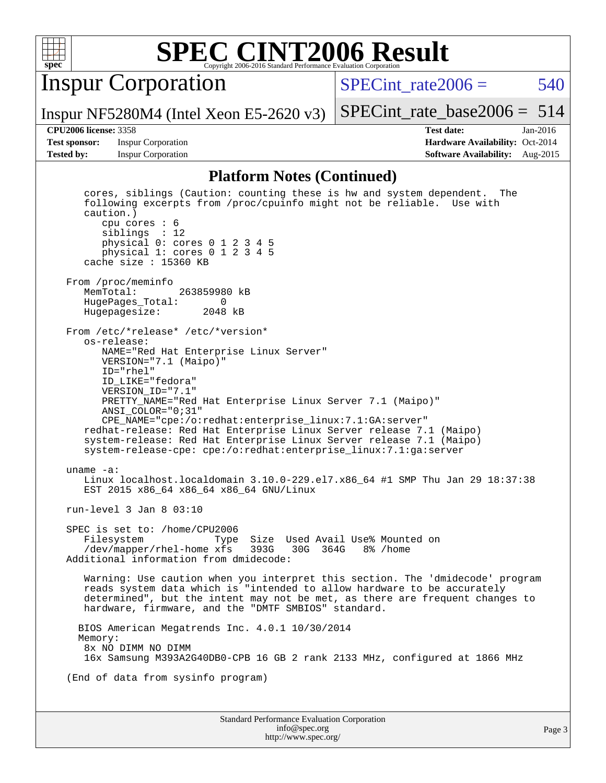

Inspur Corporation

Inspur NF5280M4 (Intel Xeon E5-2620 v3)

SPECint rate $2006 = 540$ 

[SPECint\\_rate\\_base2006 =](http://www.spec.org/auto/cpu2006/Docs/result-fields.html#SPECintratebase2006) 514

**[Test sponsor:](http://www.spec.org/auto/cpu2006/Docs/result-fields.html#Testsponsor)** Inspur Corporation **[Hardware Availability:](http://www.spec.org/auto/cpu2006/Docs/result-fields.html#HardwareAvailability)** Oct-2014

**[CPU2006 license:](http://www.spec.org/auto/cpu2006/Docs/result-fields.html#CPU2006license)** 3358 **[Test date:](http://www.spec.org/auto/cpu2006/Docs/result-fields.html#Testdate)** Jan-2016 **[Tested by:](http://www.spec.org/auto/cpu2006/Docs/result-fields.html#Testedby)** Inspur Corporation **[Software Availability:](http://www.spec.org/auto/cpu2006/Docs/result-fields.html#SoftwareAvailability)** Aug-2015

#### **[Platform Notes \(Continued\)](http://www.spec.org/auto/cpu2006/Docs/result-fields.html#PlatformNotes)**

Standard Performance Evaluation Corporation [info@spec.org](mailto:info@spec.org) cores, siblings (Caution: counting these is hw and system dependent. The following excerpts from /proc/cpuinfo might not be reliable. Use with caution.) cpu cores : 6 siblings : 12 physical 0: cores 0 1 2 3 4 5 physical 1: cores 0 1 2 3 4 5 cache size : 15360 KB From /proc/meminfo<br>MemTotal: 263859980 kB HugePages\_Total: 0 Hugepagesize: 2048 kB From /etc/\*release\* /etc/\*version\* os-release: NAME="Red Hat Enterprise Linux Server" VERSION="7.1 (Maipo)" ID="rhel" ID\_LIKE="fedora" VERSION\_ID="7.1" PRETTY\_NAME="Red Hat Enterprise Linux Server 7.1 (Maipo)" ANSI\_COLOR="0;31" CPE\_NAME="cpe:/o:redhat:enterprise\_linux:7.1:GA:server" redhat-release: Red Hat Enterprise Linux Server release 7.1 (Maipo) system-release: Red Hat Enterprise Linux Server release 7.1 (Maipo) system-release-cpe: cpe:/o:redhat:enterprise\_linux:7.1:ga:server uname -a: Linux localhost.localdomain 3.10.0-229.el7.x86\_64 #1 SMP Thu Jan 29 18:37:38 EST 2015 x86\_64 x86\_64 x86\_64 GNU/Linux run-level 3 Jan 8 03:10 SPEC is set to: /home/CPU2006 Filesystem Type Size Used Avail Use% Mounted on /dev/mapper/rhel-home xfs 393G 30G 364G 8% /home Additional information from dmidecode: Warning: Use caution when you interpret this section. The 'dmidecode' program reads system data which is "intended to allow hardware to be accurately determined", but the intent may not be met, as there are frequent changes to hardware, firmware, and the "DMTF SMBIOS" standard. BIOS American Megatrends Inc. 4.0.1 10/30/2014 Memory: 8x NO DIMM NO DIMM 16x Samsung M393A2G40DB0-CPB 16 GB 2 rank 2133 MHz, configured at 1866 MHz (End of data from sysinfo program)

<http://www.spec.org/>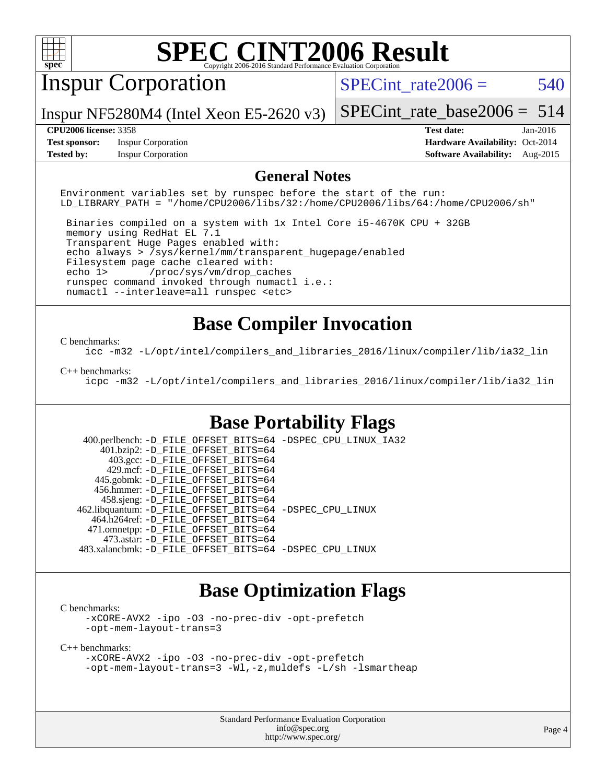

## Inspur Corporation

SPECint rate $2006 = 540$ 

Inspur NF5280M4 (Intel Xeon E5-2620 v3)

[SPECint\\_rate\\_base2006 =](http://www.spec.org/auto/cpu2006/Docs/result-fields.html#SPECintratebase2006) 514

**[Test sponsor:](http://www.spec.org/auto/cpu2006/Docs/result-fields.html#Testsponsor)** Inspur Corporation **[Hardware Availability:](http://www.spec.org/auto/cpu2006/Docs/result-fields.html#HardwareAvailability)** Oct-2014

**[CPU2006 license:](http://www.spec.org/auto/cpu2006/Docs/result-fields.html#CPU2006license)** 3358 **[Test date:](http://www.spec.org/auto/cpu2006/Docs/result-fields.html#Testdate)** Jan-2016 **[Tested by:](http://www.spec.org/auto/cpu2006/Docs/result-fields.html#Testedby)** Inspur Corporation **[Software Availability:](http://www.spec.org/auto/cpu2006/Docs/result-fields.html#SoftwareAvailability)** Aug-2015

#### **[General Notes](http://www.spec.org/auto/cpu2006/Docs/result-fields.html#GeneralNotes)**

Environment variables set by runspec before the start of the run: LD\_LIBRARY\_PATH = "/home/CPU2006/libs/32:/home/CPU2006/libs/64:/home/CPU2006/sh"

 Binaries compiled on a system with 1x Intel Core i5-4670K CPU + 32GB memory using RedHat EL 7.1 Transparent Huge Pages enabled with: echo always > /sys/kernel/mm/transparent\_hugepage/enabled Filesystem page cache cleared with: echo 1> /proc/sys/vm/drop\_caches runspec command invoked through numactl i.e.: numactl --interleave=all runspec <etc>

#### **[Base Compiler Invocation](http://www.spec.org/auto/cpu2006/Docs/result-fields.html#BaseCompilerInvocation)**

#### [C benchmarks](http://www.spec.org/auto/cpu2006/Docs/result-fields.html#Cbenchmarks):

[icc -m32 -L/opt/intel/compilers\\_and\\_libraries\\_2016/linux/compiler/lib/ia32\\_lin](http://www.spec.org/cpu2006/results/res2016q1/cpu2006-20160108-38636.flags.html#user_CCbase_intel_icc_e10256ba5924b668798078a321b0cb3f)

#### [C++ benchmarks:](http://www.spec.org/auto/cpu2006/Docs/result-fields.html#CXXbenchmarks)

[icpc -m32 -L/opt/intel/compilers\\_and\\_libraries\\_2016/linux/compiler/lib/ia32\\_lin](http://www.spec.org/cpu2006/results/res2016q1/cpu2006-20160108-38636.flags.html#user_CXXbase_intel_icpc_b4f50a394bdb4597aa5879c16bc3f5c5)

#### **[Base Portability Flags](http://www.spec.org/auto/cpu2006/Docs/result-fields.html#BasePortabilityFlags)**

 400.perlbench: [-D\\_FILE\\_OFFSET\\_BITS=64](http://www.spec.org/cpu2006/results/res2016q1/cpu2006-20160108-38636.flags.html#user_basePORTABILITY400_perlbench_file_offset_bits_64_438cf9856305ebd76870a2c6dc2689ab) [-DSPEC\\_CPU\\_LINUX\\_IA32](http://www.spec.org/cpu2006/results/res2016q1/cpu2006-20160108-38636.flags.html#b400.perlbench_baseCPORTABILITY_DSPEC_CPU_LINUX_IA32) 401.bzip2: [-D\\_FILE\\_OFFSET\\_BITS=64](http://www.spec.org/cpu2006/results/res2016q1/cpu2006-20160108-38636.flags.html#user_basePORTABILITY401_bzip2_file_offset_bits_64_438cf9856305ebd76870a2c6dc2689ab) 403.gcc: [-D\\_FILE\\_OFFSET\\_BITS=64](http://www.spec.org/cpu2006/results/res2016q1/cpu2006-20160108-38636.flags.html#user_basePORTABILITY403_gcc_file_offset_bits_64_438cf9856305ebd76870a2c6dc2689ab) 429.mcf: [-D\\_FILE\\_OFFSET\\_BITS=64](http://www.spec.org/cpu2006/results/res2016q1/cpu2006-20160108-38636.flags.html#user_basePORTABILITY429_mcf_file_offset_bits_64_438cf9856305ebd76870a2c6dc2689ab) 445.gobmk: [-D\\_FILE\\_OFFSET\\_BITS=64](http://www.spec.org/cpu2006/results/res2016q1/cpu2006-20160108-38636.flags.html#user_basePORTABILITY445_gobmk_file_offset_bits_64_438cf9856305ebd76870a2c6dc2689ab) 456.hmmer: [-D\\_FILE\\_OFFSET\\_BITS=64](http://www.spec.org/cpu2006/results/res2016q1/cpu2006-20160108-38636.flags.html#user_basePORTABILITY456_hmmer_file_offset_bits_64_438cf9856305ebd76870a2c6dc2689ab) 458.sjeng: [-D\\_FILE\\_OFFSET\\_BITS=64](http://www.spec.org/cpu2006/results/res2016q1/cpu2006-20160108-38636.flags.html#user_basePORTABILITY458_sjeng_file_offset_bits_64_438cf9856305ebd76870a2c6dc2689ab) 462.libquantum: [-D\\_FILE\\_OFFSET\\_BITS=64](http://www.spec.org/cpu2006/results/res2016q1/cpu2006-20160108-38636.flags.html#user_basePORTABILITY462_libquantum_file_offset_bits_64_438cf9856305ebd76870a2c6dc2689ab) [-DSPEC\\_CPU\\_LINUX](http://www.spec.org/cpu2006/results/res2016q1/cpu2006-20160108-38636.flags.html#b462.libquantum_baseCPORTABILITY_DSPEC_CPU_LINUX) 464.h264ref: [-D\\_FILE\\_OFFSET\\_BITS=64](http://www.spec.org/cpu2006/results/res2016q1/cpu2006-20160108-38636.flags.html#user_basePORTABILITY464_h264ref_file_offset_bits_64_438cf9856305ebd76870a2c6dc2689ab) 471.omnetpp: [-D\\_FILE\\_OFFSET\\_BITS=64](http://www.spec.org/cpu2006/results/res2016q1/cpu2006-20160108-38636.flags.html#user_basePORTABILITY471_omnetpp_file_offset_bits_64_438cf9856305ebd76870a2c6dc2689ab) 473.astar: [-D\\_FILE\\_OFFSET\\_BITS=64](http://www.spec.org/cpu2006/results/res2016q1/cpu2006-20160108-38636.flags.html#user_basePORTABILITY473_astar_file_offset_bits_64_438cf9856305ebd76870a2c6dc2689ab) 483.xalancbmk: [-D\\_FILE\\_OFFSET\\_BITS=64](http://www.spec.org/cpu2006/results/res2016q1/cpu2006-20160108-38636.flags.html#user_basePORTABILITY483_xalancbmk_file_offset_bits_64_438cf9856305ebd76870a2c6dc2689ab) [-DSPEC\\_CPU\\_LINUX](http://www.spec.org/cpu2006/results/res2016q1/cpu2006-20160108-38636.flags.html#b483.xalancbmk_baseCXXPORTABILITY_DSPEC_CPU_LINUX)

#### **[Base Optimization Flags](http://www.spec.org/auto/cpu2006/Docs/result-fields.html#BaseOptimizationFlags)**

[C benchmarks](http://www.spec.org/auto/cpu2006/Docs/result-fields.html#Cbenchmarks):

[-xCORE-AVX2](http://www.spec.org/cpu2006/results/res2016q1/cpu2006-20160108-38636.flags.html#user_CCbase_f-xAVX2_5f5fc0cbe2c9f62c816d3e45806c70d7) [-ipo](http://www.spec.org/cpu2006/results/res2016q1/cpu2006-20160108-38636.flags.html#user_CCbase_f-ipo) [-O3](http://www.spec.org/cpu2006/results/res2016q1/cpu2006-20160108-38636.flags.html#user_CCbase_f-O3) [-no-prec-div](http://www.spec.org/cpu2006/results/res2016q1/cpu2006-20160108-38636.flags.html#user_CCbase_f-no-prec-div) [-opt-prefetch](http://www.spec.org/cpu2006/results/res2016q1/cpu2006-20160108-38636.flags.html#user_CCbase_f-opt-prefetch) [-opt-mem-layout-trans=3](http://www.spec.org/cpu2006/results/res2016q1/cpu2006-20160108-38636.flags.html#user_CCbase_f-opt-mem-layout-trans_a7b82ad4bd7abf52556d4961a2ae94d5)

[C++ benchmarks:](http://www.spec.org/auto/cpu2006/Docs/result-fields.html#CXXbenchmarks)

[-xCORE-AVX2](http://www.spec.org/cpu2006/results/res2016q1/cpu2006-20160108-38636.flags.html#user_CXXbase_f-xAVX2_5f5fc0cbe2c9f62c816d3e45806c70d7) [-ipo](http://www.spec.org/cpu2006/results/res2016q1/cpu2006-20160108-38636.flags.html#user_CXXbase_f-ipo) [-O3](http://www.spec.org/cpu2006/results/res2016q1/cpu2006-20160108-38636.flags.html#user_CXXbase_f-O3) [-no-prec-div](http://www.spec.org/cpu2006/results/res2016q1/cpu2006-20160108-38636.flags.html#user_CXXbase_f-no-prec-div) [-opt-prefetch](http://www.spec.org/cpu2006/results/res2016q1/cpu2006-20160108-38636.flags.html#user_CXXbase_f-opt-prefetch) [-opt-mem-layout-trans=3](http://www.spec.org/cpu2006/results/res2016q1/cpu2006-20160108-38636.flags.html#user_CXXbase_f-opt-mem-layout-trans_a7b82ad4bd7abf52556d4961a2ae94d5) [-Wl,-z,muldefs](http://www.spec.org/cpu2006/results/res2016q1/cpu2006-20160108-38636.flags.html#user_CXXbase_link_force_multiple1_74079c344b956b9658436fd1b6dd3a8a) [-L/sh -lsmartheap](http://www.spec.org/cpu2006/results/res2016q1/cpu2006-20160108-38636.flags.html#user_CXXbase_SmartHeap_32f6c82aa1ed9c52345d30cf6e4a0499)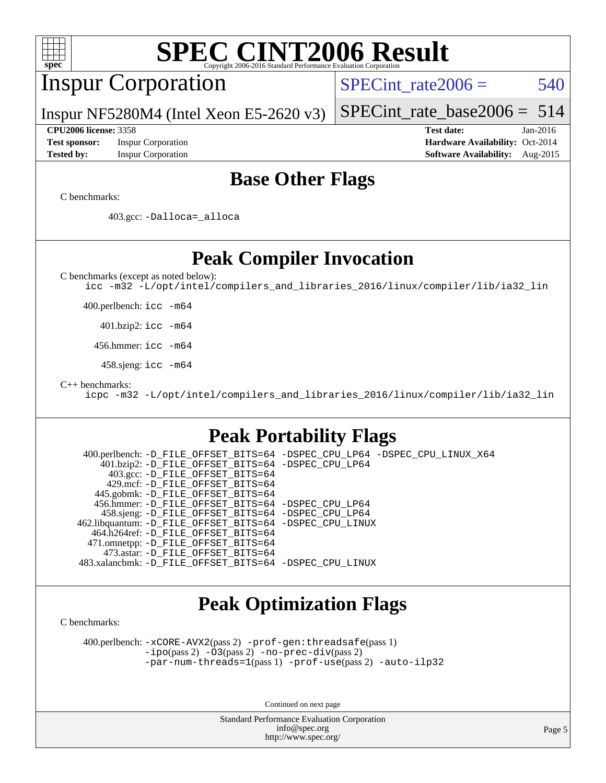| <b>SPEC CINT2006 Result</b><br>$spec^*$<br>Copyright 2006-2016 Standard Performance Evaluation Corporation                                                                                                                                                                                                                                                                                                                                                                                                                                                                                   |                                                                                                               |
|----------------------------------------------------------------------------------------------------------------------------------------------------------------------------------------------------------------------------------------------------------------------------------------------------------------------------------------------------------------------------------------------------------------------------------------------------------------------------------------------------------------------------------------------------------------------------------------------|---------------------------------------------------------------------------------------------------------------|
| <b>Inspur Corporation</b>                                                                                                                                                                                                                                                                                                                                                                                                                                                                                                                                                                    | 540<br>$SPECint rate 2006 =$                                                                                  |
| Inspur NF5280M4 (Intel Xeon E5-2620 $v3$ )                                                                                                                                                                                                                                                                                                                                                                                                                                                                                                                                                   | 514<br>$SPECint_rate_base2006 =$                                                                              |
| <b>CPU2006 license: 3358</b><br><b>Inspur Corporation</b><br><b>Test sponsor:</b><br><b>Tested by:</b><br><b>Inspur Corporation</b>                                                                                                                                                                                                                                                                                                                                                                                                                                                          | <b>Test date:</b><br>Jan-2016<br>Hardware Availability: Oct-2014<br><b>Software Availability:</b><br>Aug-2015 |
| <b>Base Other Flags</b>                                                                                                                                                                                                                                                                                                                                                                                                                                                                                                                                                                      |                                                                                                               |
| C benchmarks:<br>403.gcc: -Dalloca=_alloca                                                                                                                                                                                                                                                                                                                                                                                                                                                                                                                                                   |                                                                                                               |
| <b>Peak Compiler Invocation</b>                                                                                                                                                                                                                                                                                                                                                                                                                                                                                                                                                              |                                                                                                               |
| C benchmarks (except as noted below):<br>icc -m32 -L/opt/intel/compilers_and_libraries_2016/linux/compiler/lib/ia32_lin                                                                                                                                                                                                                                                                                                                                                                                                                                                                      |                                                                                                               |
| 400.perlbench: icc -m64                                                                                                                                                                                                                                                                                                                                                                                                                                                                                                                                                                      |                                                                                                               |
| $401.bzip2:$ icc $-m64$                                                                                                                                                                                                                                                                                                                                                                                                                                                                                                                                                                      |                                                                                                               |
| 456.hmmer: icc -m64                                                                                                                                                                                                                                                                                                                                                                                                                                                                                                                                                                          |                                                                                                               |
| 458.sjeng: icc -m64                                                                                                                                                                                                                                                                                                                                                                                                                                                                                                                                                                          |                                                                                                               |
| $C_{++}$ benchmarks:<br>icpc -m32 -L/opt/intel/compilers_and_libraries_2016/linux/compiler/lib/ia32_lin                                                                                                                                                                                                                                                                                                                                                                                                                                                                                      |                                                                                                               |
| <b>Peak Portability Flags</b>                                                                                                                                                                                                                                                                                                                                                                                                                                                                                                                                                                |                                                                                                               |
| 400.perlbench: -D_FILE_OFFSET_BITS=64 -DSPEC_CPU_LP64 -DSPEC_CPU_LINUX_X64<br>401.bzip2: -D_FILE_OFFSET_BITS=64 -DSPEC_CPU_LP64<br>403.gcc: -D_FILE_OFFSET_BITS=64<br>429.mcf: -D_FILE_OFFSET_BITS=64<br>445.gobmk: -D_FILE_OFFSET_BITS=64<br>456.hmmer: -D_FILE_OFFSET_BITS=64 -DSPEC_CPU_LP64<br>458.sjeng: -D_FILE_OFFSET_BITS=64 -DSPEC_CPU_LP64<br>462.libquantum: -D_FILE_OFFSET_BITS=64 -DSPEC_CPU_LINUX<br>464.h264ref: -D FILE OFFSET BITS=64<br>471.omnetpp: -D_FILE_OFFSET_BITS=64<br>473.astar: -D FILE OFFSET BITS=64<br>483.xalancbmk: -D_FILE_OFFSET_BITS=64 -DSPEC_CPU_LINUX |                                                                                                               |
| <b>Peak Optimization Flags</b><br>C benchmarks:                                                                                                                                                                                                                                                                                                                                                                                                                                                                                                                                              |                                                                                                               |
| 400.perlbench: -xCORE-AVX2(pass 2) -prof-gen: threadsafe(pass 1)<br>$-ipo(pass 2)$ $-03(pass 2)$ $-no-prec-div(pass 2)$<br>$-par-num-threads=1(pass 1) -prof-use(pass 2) -auto-ilp32$                                                                                                                                                                                                                                                                                                                                                                                                        |                                                                                                               |
| Continued on next page                                                                                                                                                                                                                                                                                                                                                                                                                                                                                                                                                                       |                                                                                                               |
| Standard Performance Evaluation Cornoration                                                                                                                                                                                                                                                                                                                                                                                                                                                                                                                                                  |                                                                                                               |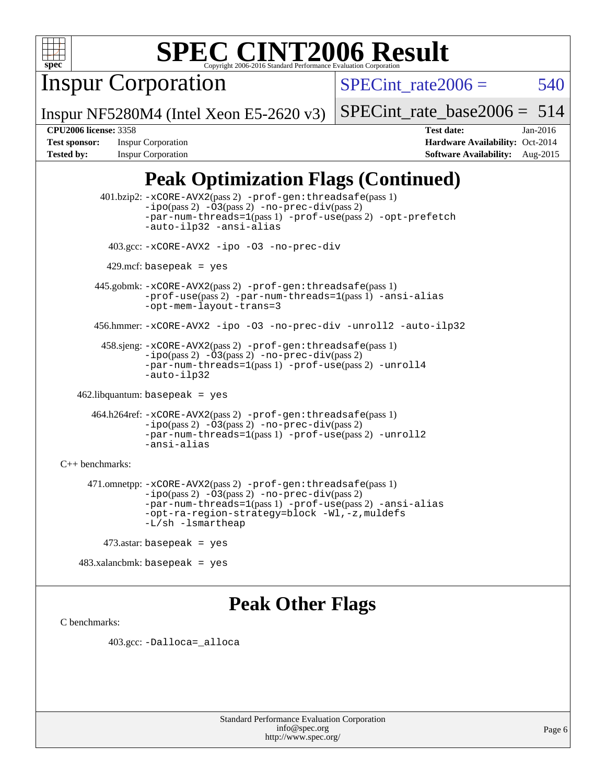

Inspur Corporation

SPECint rate $2006 = 540$ 

Inspur NF5280M4 (Intel Xeon E5-2620 v3)

[SPECint\\_rate\\_base2006 =](http://www.spec.org/auto/cpu2006/Docs/result-fields.html#SPECintratebase2006) 514

**[CPU2006 license:](http://www.spec.org/auto/cpu2006/Docs/result-fields.html#CPU2006license)** 3358 **[Test date:](http://www.spec.org/auto/cpu2006/Docs/result-fields.html#Testdate)** Jan-2016 **[Test sponsor:](http://www.spec.org/auto/cpu2006/Docs/result-fields.html#Testsponsor)** Inspur Corporation **[Hardware Availability:](http://www.spec.org/auto/cpu2006/Docs/result-fields.html#HardwareAvailability)** Oct-2014 **[Tested by:](http://www.spec.org/auto/cpu2006/Docs/result-fields.html#Testedby)** Inspur Corporation **[Software Availability:](http://www.spec.org/auto/cpu2006/Docs/result-fields.html#SoftwareAvailability)** Aug-2015

### **[Peak Optimization Flags \(Continued\)](http://www.spec.org/auto/cpu2006/Docs/result-fields.html#PeakOptimizationFlags)**

 401.bzip2: [-xCORE-AVX2](http://www.spec.org/cpu2006/results/res2016q1/cpu2006-20160108-38636.flags.html#user_peakPASS2_CFLAGSPASS2_LDCFLAGS401_bzip2_f-xAVX2_5f5fc0cbe2c9f62c816d3e45806c70d7)(pass 2) [-prof-gen:threadsafe](http://www.spec.org/cpu2006/results/res2016q1/cpu2006-20160108-38636.flags.html#user_peakPASS1_CFLAGSPASS1_LDCFLAGS401_bzip2_prof_gen_21a26eb79f378b550acd7bec9fe4467a)(pass 1)  $-i\text{po}(pass 2) -03(pass 2) -no-prec-div(pass 2)$  $-i\text{po}(pass 2) -03(pass 2) -no-prec-div(pass 2)$  $-i\text{po}(pass 2) -03(pass 2) -no-prec-div(pass 2)$ [-par-num-threads=1](http://www.spec.org/cpu2006/results/res2016q1/cpu2006-20160108-38636.flags.html#user_peakPASS1_CFLAGSPASS1_LDCFLAGS401_bzip2_par_num_threads_786a6ff141b4e9e90432e998842df6c2)(pass 1) [-prof-use](http://www.spec.org/cpu2006/results/res2016q1/cpu2006-20160108-38636.flags.html#user_peakPASS2_CFLAGSPASS2_LDCFLAGS401_bzip2_prof_use_bccf7792157ff70d64e32fe3e1250b55)(pass 2) [-opt-prefetch](http://www.spec.org/cpu2006/results/res2016q1/cpu2006-20160108-38636.flags.html#user_peakCOPTIMIZE401_bzip2_f-opt-prefetch) [-auto-ilp32](http://www.spec.org/cpu2006/results/res2016q1/cpu2006-20160108-38636.flags.html#user_peakCOPTIMIZE401_bzip2_f-auto-ilp32) [-ansi-alias](http://www.spec.org/cpu2006/results/res2016q1/cpu2006-20160108-38636.flags.html#user_peakCOPTIMIZE401_bzip2_f-ansi-alias) 403.gcc: [-xCORE-AVX2](http://www.spec.org/cpu2006/results/res2016q1/cpu2006-20160108-38636.flags.html#user_peakCOPTIMIZE403_gcc_f-xAVX2_5f5fc0cbe2c9f62c816d3e45806c70d7) [-ipo](http://www.spec.org/cpu2006/results/res2016q1/cpu2006-20160108-38636.flags.html#user_peakCOPTIMIZE403_gcc_f-ipo) [-O3](http://www.spec.org/cpu2006/results/res2016q1/cpu2006-20160108-38636.flags.html#user_peakCOPTIMIZE403_gcc_f-O3) [-no-prec-div](http://www.spec.org/cpu2006/results/res2016q1/cpu2006-20160108-38636.flags.html#user_peakCOPTIMIZE403_gcc_f-no-prec-div)  $429$ .mcf: basepeak = yes 445.gobmk: [-xCORE-AVX2](http://www.spec.org/cpu2006/results/res2016q1/cpu2006-20160108-38636.flags.html#user_peakPASS2_CFLAGSPASS2_LDCFLAGS445_gobmk_f-xAVX2_5f5fc0cbe2c9f62c816d3e45806c70d7)(pass 2) [-prof-gen:threadsafe](http://www.spec.org/cpu2006/results/res2016q1/cpu2006-20160108-38636.flags.html#user_peakPASS1_CFLAGSPASS1_LDCFLAGS445_gobmk_prof_gen_21a26eb79f378b550acd7bec9fe4467a)(pass 1) [-prof-use](http://www.spec.org/cpu2006/results/res2016q1/cpu2006-20160108-38636.flags.html#user_peakPASS2_CFLAGSPASS2_LDCFLAGS445_gobmk_prof_use_bccf7792157ff70d64e32fe3e1250b55)(pass 2) [-par-num-threads=1](http://www.spec.org/cpu2006/results/res2016q1/cpu2006-20160108-38636.flags.html#user_peakPASS1_CFLAGSPASS1_LDCFLAGS445_gobmk_par_num_threads_786a6ff141b4e9e90432e998842df6c2)(pass 1) [-ansi-alias](http://www.spec.org/cpu2006/results/res2016q1/cpu2006-20160108-38636.flags.html#user_peakCOPTIMIZE445_gobmk_f-ansi-alias) [-opt-mem-layout-trans=3](http://www.spec.org/cpu2006/results/res2016q1/cpu2006-20160108-38636.flags.html#user_peakCOPTIMIZE445_gobmk_f-opt-mem-layout-trans_a7b82ad4bd7abf52556d4961a2ae94d5) 456.hmmer: [-xCORE-AVX2](http://www.spec.org/cpu2006/results/res2016q1/cpu2006-20160108-38636.flags.html#user_peakCOPTIMIZE456_hmmer_f-xAVX2_5f5fc0cbe2c9f62c816d3e45806c70d7) [-ipo](http://www.spec.org/cpu2006/results/res2016q1/cpu2006-20160108-38636.flags.html#user_peakCOPTIMIZE456_hmmer_f-ipo) [-O3](http://www.spec.org/cpu2006/results/res2016q1/cpu2006-20160108-38636.flags.html#user_peakCOPTIMIZE456_hmmer_f-O3) [-no-prec-div](http://www.spec.org/cpu2006/results/res2016q1/cpu2006-20160108-38636.flags.html#user_peakCOPTIMIZE456_hmmer_f-no-prec-div) [-unroll2](http://www.spec.org/cpu2006/results/res2016q1/cpu2006-20160108-38636.flags.html#user_peakCOPTIMIZE456_hmmer_f-unroll_784dae83bebfb236979b41d2422d7ec2) [-auto-ilp32](http://www.spec.org/cpu2006/results/res2016q1/cpu2006-20160108-38636.flags.html#user_peakCOPTIMIZE456_hmmer_f-auto-ilp32) 458.sjeng: [-xCORE-AVX2](http://www.spec.org/cpu2006/results/res2016q1/cpu2006-20160108-38636.flags.html#user_peakPASS2_CFLAGSPASS2_LDCFLAGS458_sjeng_f-xAVX2_5f5fc0cbe2c9f62c816d3e45806c70d7)(pass 2) [-prof-gen:threadsafe](http://www.spec.org/cpu2006/results/res2016q1/cpu2006-20160108-38636.flags.html#user_peakPASS1_CFLAGSPASS1_LDCFLAGS458_sjeng_prof_gen_21a26eb79f378b550acd7bec9fe4467a)(pass 1) [-ipo](http://www.spec.org/cpu2006/results/res2016q1/cpu2006-20160108-38636.flags.html#user_peakPASS2_CFLAGSPASS2_LDCFLAGS458_sjeng_f-ipo)(pass 2) [-O3](http://www.spec.org/cpu2006/results/res2016q1/cpu2006-20160108-38636.flags.html#user_peakPASS2_CFLAGSPASS2_LDCFLAGS458_sjeng_f-O3)(pass 2) [-no-prec-div](http://www.spec.org/cpu2006/results/res2016q1/cpu2006-20160108-38636.flags.html#user_peakPASS2_CFLAGSPASS2_LDCFLAGS458_sjeng_f-no-prec-div)(pass 2) [-par-num-threads=1](http://www.spec.org/cpu2006/results/res2016q1/cpu2006-20160108-38636.flags.html#user_peakPASS1_CFLAGSPASS1_LDCFLAGS458_sjeng_par_num_threads_786a6ff141b4e9e90432e998842df6c2)(pass 1) [-prof-use](http://www.spec.org/cpu2006/results/res2016q1/cpu2006-20160108-38636.flags.html#user_peakPASS2_CFLAGSPASS2_LDCFLAGS458_sjeng_prof_use_bccf7792157ff70d64e32fe3e1250b55)(pass 2) [-unroll4](http://www.spec.org/cpu2006/results/res2016q1/cpu2006-20160108-38636.flags.html#user_peakCOPTIMIZE458_sjeng_f-unroll_4e5e4ed65b7fd20bdcd365bec371b81f) [-auto-ilp32](http://www.spec.org/cpu2006/results/res2016q1/cpu2006-20160108-38636.flags.html#user_peakCOPTIMIZE458_sjeng_f-auto-ilp32) 462.libquantum: basepeak = yes 464.h264ref: [-xCORE-AVX2](http://www.spec.org/cpu2006/results/res2016q1/cpu2006-20160108-38636.flags.html#user_peakPASS2_CFLAGSPASS2_LDCFLAGS464_h264ref_f-xAVX2_5f5fc0cbe2c9f62c816d3e45806c70d7)(pass 2) [-prof-gen:threadsafe](http://www.spec.org/cpu2006/results/res2016q1/cpu2006-20160108-38636.flags.html#user_peakPASS1_CFLAGSPASS1_LDCFLAGS464_h264ref_prof_gen_21a26eb79f378b550acd7bec9fe4467a)(pass 1) [-ipo](http://www.spec.org/cpu2006/results/res2016q1/cpu2006-20160108-38636.flags.html#user_peakPASS2_CFLAGSPASS2_LDCFLAGS464_h264ref_f-ipo)(pass 2) [-O3](http://www.spec.org/cpu2006/results/res2016q1/cpu2006-20160108-38636.flags.html#user_peakPASS2_CFLAGSPASS2_LDCFLAGS464_h264ref_f-O3)(pass 2) [-no-prec-div](http://www.spec.org/cpu2006/results/res2016q1/cpu2006-20160108-38636.flags.html#user_peakPASS2_CFLAGSPASS2_LDCFLAGS464_h264ref_f-no-prec-div)(pass 2) [-par-num-threads=1](http://www.spec.org/cpu2006/results/res2016q1/cpu2006-20160108-38636.flags.html#user_peakPASS1_CFLAGSPASS1_LDCFLAGS464_h264ref_par_num_threads_786a6ff141b4e9e90432e998842df6c2)(pass 1) [-prof-use](http://www.spec.org/cpu2006/results/res2016q1/cpu2006-20160108-38636.flags.html#user_peakPASS2_CFLAGSPASS2_LDCFLAGS464_h264ref_prof_use_bccf7792157ff70d64e32fe3e1250b55)(pass 2) [-unroll2](http://www.spec.org/cpu2006/results/res2016q1/cpu2006-20160108-38636.flags.html#user_peakCOPTIMIZE464_h264ref_f-unroll_784dae83bebfb236979b41d2422d7ec2) [-ansi-alias](http://www.spec.org/cpu2006/results/res2016q1/cpu2006-20160108-38636.flags.html#user_peakCOPTIMIZE464_h264ref_f-ansi-alias) [C++ benchmarks:](http://www.spec.org/auto/cpu2006/Docs/result-fields.html#CXXbenchmarks) 471.omnetpp: [-xCORE-AVX2](http://www.spec.org/cpu2006/results/res2016q1/cpu2006-20160108-38636.flags.html#user_peakPASS2_CXXFLAGSPASS2_LDCXXFLAGS471_omnetpp_f-xAVX2_5f5fc0cbe2c9f62c816d3e45806c70d7)(pass 2) [-prof-gen:threadsafe](http://www.spec.org/cpu2006/results/res2016q1/cpu2006-20160108-38636.flags.html#user_peakPASS1_CXXFLAGSPASS1_LDCXXFLAGS471_omnetpp_prof_gen_21a26eb79f378b550acd7bec9fe4467a)(pass 1)  $-ipo(pass 2) -\overline{03(pass 2)}$  $-ipo(pass 2) -\overline{03(pass 2)}$  [-no-prec-div](http://www.spec.org/cpu2006/results/res2016q1/cpu2006-20160108-38636.flags.html#user_peakPASS2_CXXFLAGSPASS2_LDCXXFLAGS471_omnetpp_f-no-prec-div)(pass 2) [-par-num-threads=1](http://www.spec.org/cpu2006/results/res2016q1/cpu2006-20160108-38636.flags.html#user_peakPASS1_CXXFLAGSPASS1_LDCXXFLAGS471_omnetpp_par_num_threads_786a6ff141b4e9e90432e998842df6c2)(pass 1) [-prof-use](http://www.spec.org/cpu2006/results/res2016q1/cpu2006-20160108-38636.flags.html#user_peakPASS2_CXXFLAGSPASS2_LDCXXFLAGS471_omnetpp_prof_use_bccf7792157ff70d64e32fe3e1250b55)(pass 2) [-ansi-alias](http://www.spec.org/cpu2006/results/res2016q1/cpu2006-20160108-38636.flags.html#user_peakCXXOPTIMIZE471_omnetpp_f-ansi-alias) [-opt-ra-region-strategy=block](http://www.spec.org/cpu2006/results/res2016q1/cpu2006-20160108-38636.flags.html#user_peakCXXOPTIMIZE471_omnetpp_f-opt-ra-region-strategy_a0a37c372d03933b2a18d4af463c1f69) [-Wl,-z,muldefs](http://www.spec.org/cpu2006/results/res2016q1/cpu2006-20160108-38636.flags.html#user_peakEXTRA_LDFLAGS471_omnetpp_link_force_multiple1_74079c344b956b9658436fd1b6dd3a8a) [-L/sh -lsmartheap](http://www.spec.org/cpu2006/results/res2016q1/cpu2006-20160108-38636.flags.html#user_peakEXTRA_LIBS471_omnetpp_SmartHeap_32f6c82aa1ed9c52345d30cf6e4a0499) 473.astar: basepeak = yes

483.xalancbmk: basepeak = yes

### **[Peak Other Flags](http://www.spec.org/auto/cpu2006/Docs/result-fields.html#PeakOtherFlags)**

[C benchmarks](http://www.spec.org/auto/cpu2006/Docs/result-fields.html#Cbenchmarks):

403.gcc: [-Dalloca=\\_alloca](http://www.spec.org/cpu2006/results/res2016q1/cpu2006-20160108-38636.flags.html#b403.gcc_peakEXTRA_CFLAGS_Dalloca_be3056838c12de2578596ca5467af7f3)